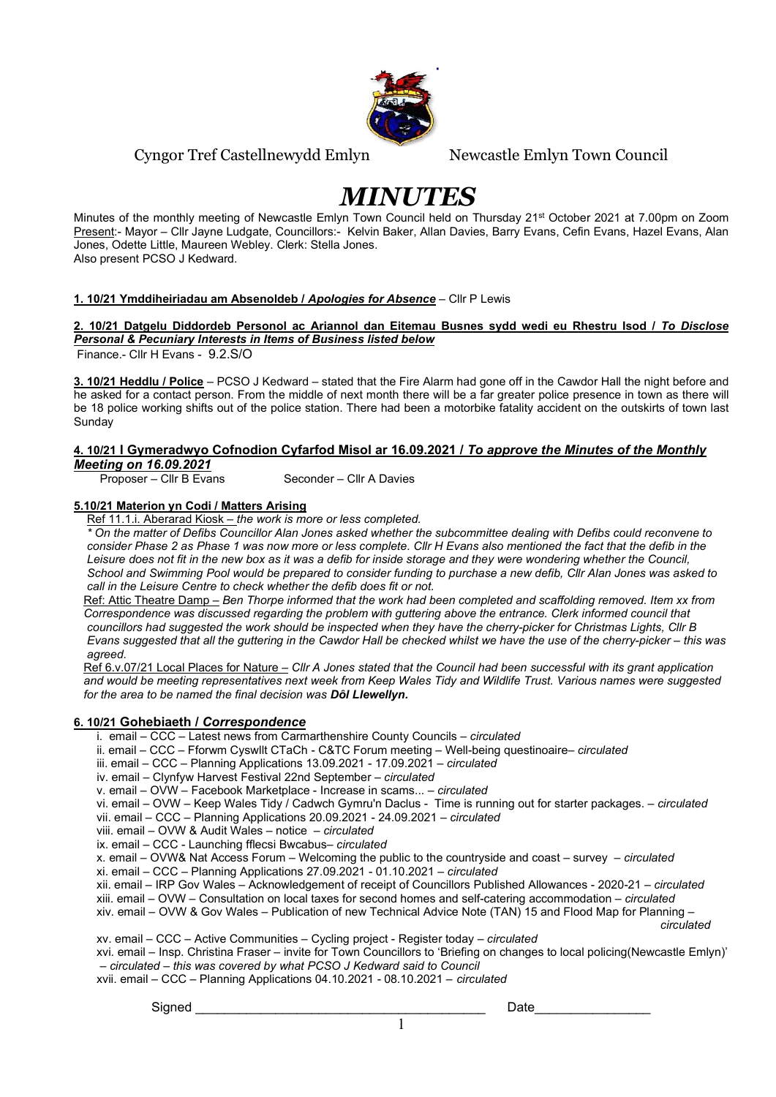

# Cyngor Tref Castellnewydd Emlyn Newcastle Emlyn Town Council

# MINUTES

Minutes of the monthly meeting of Newcastle Emlyn Town Council held on Thursday 21<sup>st</sup> October 2021 at 7.00pm on Zoom Present:- Mayor – Cllr Jayne Ludgate, Councillors:- Kelvin Baker, Allan Davies, Barry Evans, Cefin Evans, Hazel Evans, Alan Jones, Odette Little, Maureen Webley. Clerk: Stella Jones. Also present PCSO J Kedward.

#### 1. 10/21 Ymddiheiriadau am Absenoldeb / Apologies for Absence – Cllr P Lewis

## 2. 10/21 Datgelu Diddordeb Personol ac Ariannol dan Eitemau Busnes sydd wedi eu Rhestru Isod / To Disclose Personal & Pecuniary Interests in Items of Business listed below

Finance.- Cllr H Evans - 9.2.S/O

3. 10/21 Heddlu / Police – PCSO J Kedward – stated that the Fire Alarm had gone off in the Cawdor Hall the night before and he asked for a contact person. From the middle of next month there will be a far greater police presence in town as there will be 18 police working shifts out of the police station. There had been a motorbike fatality accident on the outskirts of town last Sunday

#### 4. 10/21 I Gymeradwyo Cofnodion Cyfarfod Misol ar 16.09.2021 / To approve the Minutes of the Monthly Meeting on 16.09.2021

Proposer – Cllr B Evans Seconder – Cllr A Davies

# 5.10/21 Materion yn Codi / Matters Arising

Ref 11.1.i. Aberarad Kiosk – the work is more or less completed.

 \* On the matter of Defibs Councillor Alan Jones asked whether the subcommittee dealing with Defibs could reconvene to consider Phase 2 as Phase 1 was now more or less complete. Cllr H Evans also mentioned the fact that the defib in the Leisure does not fit in the new box as it was a defib for inside storage and they were wondering whether the Council, School and Swimming Pool would be prepared to consider funding to purchase a new defib, Cllr Alan Jones was asked to call in the Leisure Centre to check whether the defib does fit or not.

Ref: Attic Theatre Damp – Ben Thorpe informed that the work had been completed and scaffolding removed. Item xx from Correspondence was discussed regarding the problem with guttering above the entrance. Clerk informed council that councillors had suggested the work should be inspected when they have the cherry-picker for Christmas Lights, Cllr B Evans suggested that all the guttering in the Cawdor Hall be checked whilst we have the use of the cherry-picker – this was agreed.

Ref 6.v.07/21 Local Places for Nature – Cllr A Jones stated that the Council had been successful with its grant application and would be meeting representatives next week from Keep Wales Tidy and Wildlife Trust. Various names were suggested for the area to be named the final decision was **Dôl Llewellyn.** 

# 6. 10/21 Gohebiaeth / Correspondence

- i. email CCC Latest news from Carmarthenshire County Councils circulated
- ii. email CCC Fforwm Cyswllt CTaCh C&TC Forum meeting Well-being questinoaire– circulated
- iii. email CCC Planning Applications 13.09.2021 17.09.2021 circulated
- iv. email Clynfyw Harvest Festival 22nd September circulated
- v. email OVW Facebook Marketplace Increase in scams... circulated
- vi. email OVW Keep Wales Tidy / Cadwch Gymru'n Daclus Time is running out for starter packages. circulated vii. email – CCC – Planning Applications 20.09.2021 - 24.09.2021 – circulated

viii. email – OVW & Audit Wales – notice – circulated

ix. email – CCC - Launching fflecsi Bwcabus– circulated

x. email – OVW& Nat Access Forum – Welcoming the public to the countryside and coast – survey – circulated

xi. email – CCC – Planning Applications 27.09.2021 - 01.10.2021 – circulated

xii. email – IRP Gov Wales – Acknowledgement of receipt of Councillors Published Allowances - 2020-21 – circulated

xiii. email – OVW – Consultation on local taxes for second homes and self-catering accommodation – circulated

xiv. email – OVW & Gov Wales – Publication of new Technical Advice Note (TAN) 15 and Flood Map for Planning –

circulated the contract of the contract of the contract of the contract of the contract of the contract of the xv. email – CCC – Active Communities – Cycling project - Register today – circulated

- xvi. email Insp. Christina Fraser invite for Town Councillors to 'Briefing on changes to local policing(Newcastle Emlyn)' – circulated – this was covered by what PCSO J Kedward said to Council
- xvii. email CCC Planning Applications 04.10.2021 08.10.2021 circulated

Signed **Example 2** and the set of the set of the set of the set of the set of the set of the set of the set of th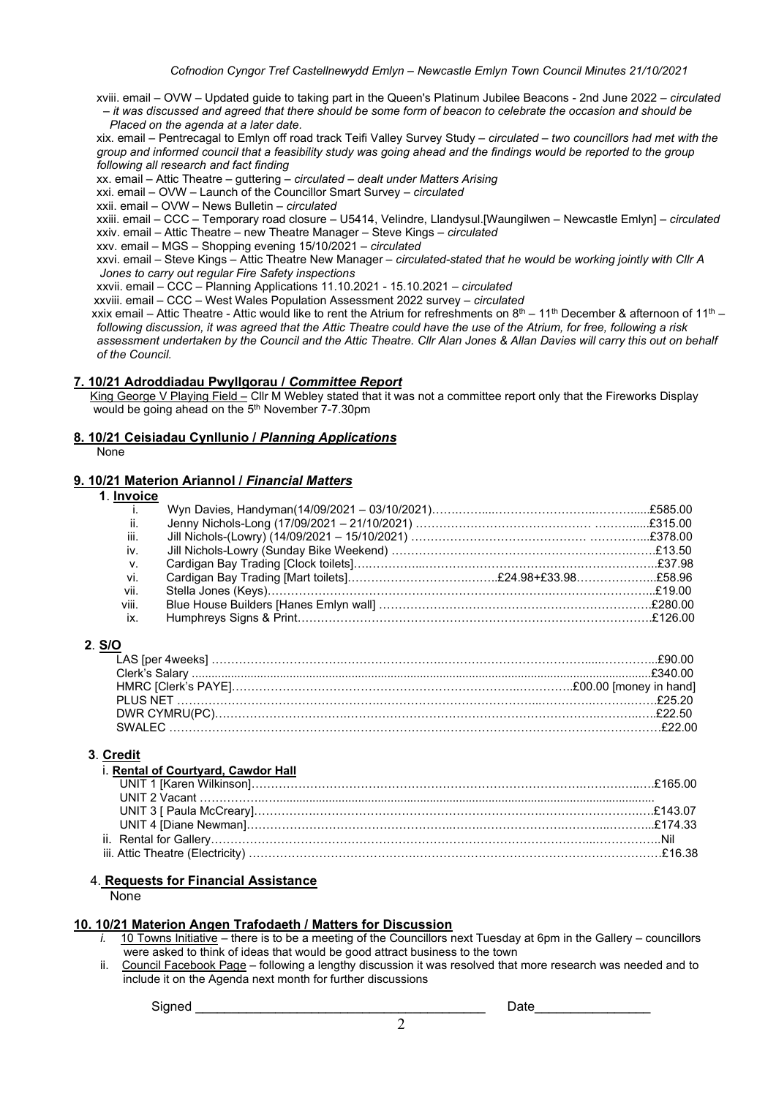xviii. email – OVW – Updated guide to taking part in the Queen's Platinum Jubilee Beacons - 2nd June 2022 – circulated – it was discussed and agreed that there should be some form of beacon to celebrate the occasion and should be Placed on the agenda at a later date.

 xix. email – Pentrecagal to Emlyn off road track Teifi Valley Survey Study – circulated – two councillors had met with the group and informed council that a feasibility study was going ahead and the findings would be reported to the group following all research and fact finding

xx. email – Attic Theatre – guttering – circulated – dealt under Matters Arising

xxi. email – OVW – Launch of the Councillor Smart Survey – circulated

xxii. email – OVW – News Bulletin – circulated

xxiii. email – CCC – Temporary road closure – U5414, Velindre, Llandysul.[Waungilwen – Newcastle Emlyn] – circulated

 xxiv. email – Attic Theatre – new Theatre Manager – Steve Kings – circulated xxv. email – MGS – Shopping evening 15/10/2021 – circulated

xxvi. email – Steve Kings – Attic Theatre New Manager – circulated-stated that he would be working jointly with Cllr A

Jones to carry out regular Fire Safety inspections

xxvii. email – CCC – Planning Applications 11.10.2021 - 15.10.2021 – circulated

xxviii. email – CCC – West Wales Population Assessment 2022 survey – circulated

xxix email – Attic Theatre - Attic would like to rent the Atrium for refreshments on  $8^{\text{th}}$  – 11<sup>th</sup> December & afternoon of 11<sup>th</sup> – following discussion, it was agreed that the Attic Theatre could have the use of the Atrium, for free, following a risk assessment undertaken by the Council and the Attic Theatre. Cllr Alan Jones & Allan Davies will carry this out on behalf of the Council.

#### 7. 10/21 Adroddiadau Pwyllgorau / Committee Report

King George V Playing Field - Cllr M Webley stated that it was not a committee report only that the Fireworks Display would be going ahead on the 5<sup>th</sup> November 7-7.30pm

# 8. 10/21 Ceisiadau Cynllunio / Planning Applications

None

### 9. 10/21 Materion Ariannol / Financial Matters

1. Invoice

| .              |  |  |
|----------------|--|--|
| $\mathbf{i}$ . |  |  |
| ii.            |  |  |
| iii.           |  |  |
| iv.            |  |  |
| $V_{\rm A}$    |  |  |
| vi.            |  |  |
| vii.           |  |  |
| viii.          |  |  |
| ix.            |  |  |
|                |  |  |

#### 2. S/O

#### 3. Credit

| i. Rental of Courtyard, Cawdor Hall |  |
|-------------------------------------|--|
|                                     |  |
|                                     |  |
|                                     |  |
|                                     |  |
|                                     |  |
|                                     |  |

# 4. Requests for Financial Assistance

**None** 

#### 10. 10/21 Materion Angen Trafodaeth / Matters for Discussion

- i. 10 Towns Initiative there is to be a meeting of the Councillors next Tuesday at 6pm in the Gallery councillors were asked to think of ideas that would be good attract business to the town
- ii. Council Facebook Page following a lengthy discussion it was resolved that more research was needed and to include it on the Agenda next month for further discussions

Signed \_\_\_\_\_\_\_\_\_\_\_\_\_\_\_\_\_\_\_\_\_\_\_\_\_\_\_\_\_\_\_\_\_\_\_\_\_\_\_\_ Date\_\_\_\_\_\_\_\_\_\_\_\_\_\_\_\_